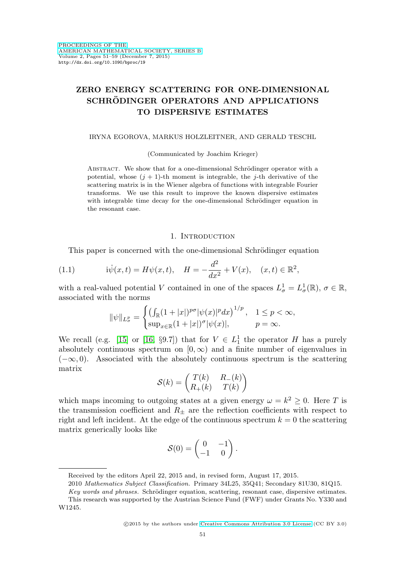# **ZERO ENERGY SCATTERING FOR ONE-DIMENSIONAL SCHRODINGER OPERATORS AND APPLICATIONS ¨ TO DISPERSIVE ESTIMATES**

### IRYNA EGOROVA, MARKUS HOLZLEITNER, AND GERALD TESCHL

#### (Communicated by Joachim Krieger)

ABSTRACT. We show that for a one-dimensional Schrödinger operator with a potential, whose  $(j + 1)$ -th moment is integrable, the j-th derivative of the scattering matrix is in the Wiener algebra of functions with integrable Fourier transforms. We use this result to improve the known dispersive estimates with integrable time decay for the one-dimensional Schrödinger equation in the resonant case.

## 1. INTRODUCTION

This paper is concerned with the one-dimensional Schrödinger equation

<span id="page-0-0"></span>(1.1) 
$$
i\dot{\psi}(x,t) = H\psi(x,t), \quad H = -\frac{d^2}{dx^2} + V(x), \quad (x,t) \in \mathbb{R}^2,
$$

with a real-valued potential V contained in one of the spaces  $L^1_\sigma = L^1_\sigma(\mathbb{R}), \sigma \in \mathbb{R}$ , associated with the norms

$$
\|\psi\|_{L^p_\sigma}=\begin{cases} \left(\int_{\mathbb{R}}(1+|x|)^{p\sigma}|\psi(x)|^pdx\right)^{1/p}, & 1\leq p<\infty,\\ \sup_{x\in\mathbb{R}}(1+|x|)^{\sigma}|\psi(x)|, & p=\infty.\end{cases}
$$

We recall (e.g. [\[15\]](#page-8-0) or [\[16,](#page-8-1) §9.7]) that for  $V \in L_1^1$  the operator H has a purely absolutely continuous spectrum on  $[0, \infty)$  and a finite number of eigenvalues in  $(-\infty, 0)$ . Associated with the absolutely continuous spectrum is the scattering matrix

$$
\mathcal{S}(k) = \begin{pmatrix} T(k) & R_{-}(k) \\ R_{+}(k) & T(k) \end{pmatrix}
$$

which maps incoming to outgoing states at a given energy  $\omega = k^2 \geq 0$ . Here T is the transmission coefficient and  $R_{\pm}$  are the reflection coefficients with respect to right and left incident. At the edge of the continuous spectrum  $k = 0$  the scattering matrix generically looks like

$$
\mathcal{S}(0) = \begin{pmatrix} 0 & -1 \\ -1 & 0 \end{pmatrix}.
$$

Received by the editors April 22, 2015 and, in revised form, August 17, 2015.

<sup>2010</sup> Mathematics Subject Classification. Primary 34L25, 35Q41; Secondary 81U30, 81Q15.

Key words and phrases. Schrödinger equation, scattering, resonant case, dispersive estimates. This research was supported by the Austrian Science Fund (FWF) under Grants No. Y330 and W1245.

<sup>©2015</sup> by the authors under [Creative Commons Attribution 3.0 License](http://creativecommons.org/licenses/by/3.0/) (CC BY 3.0)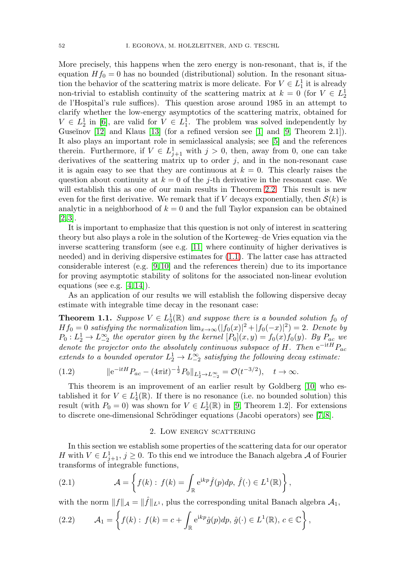More precisely, this happens when the zero energy is non-resonant, that is, if the equation  $Hf_0 = 0$  has no bounded (distributional) solution. In the resonant situation the behavior of the scattering matrix is more delicate. For  $V \in L_1^1$  it is already non-trivial to establish continuity of the scattering matrix at  $k = 0$  (for  $V \in L_2^1$ de l'Hospital's rule suffices). This question arose around 1985 in an attempt to clarify whether the low-energy asymptotics of the scattering matrix, obtained for  $V \in L_2^1$  in [\[6\]](#page-8-2), are valid for  $V \in L_1^1$ . The problem was solved independently by Guseĭnov  $[12]$  and Klaus  $[13]$  (for a refined version see  $[1]$  and  $[9,$  Theorem 2.1]). It also plays an important role in semiclassical analysis; see [\[5\]](#page-8-6) and the references therein. Furthermore, if  $V \in L_{j+1}^1$  with  $j > 0$ , then, away from 0, one can take derivatives of the scattering matrix up to order  $j$ , and in the non-resonant case it is again easy to see that they are continuous at  $k = 0$ . This clearly raises the question about continuity at  $k = 0$  of the j-th derivative in the resonant case. We will establish this as one of our main results in Theorem [2.2.](#page-2-0) This result is new even for the first derivative. We remark that if V decays exponentially, then  $\mathcal{S}(k)$  is analytic in a neighborhood of  $k = 0$  and the full Taylor expansion can be obtained [\[2,](#page-8-7) [3\]](#page-8-8).

It is important to emphasize that this question is not only of interest in scattering theory but also plays a role in the solution of the Korteweg–de Vries equation via the inverse scattering transform (see e.g. [\[11\]](#page-8-9) where continuity of higher derivatives is needed) and in deriving dispersive estimates for [\(1.1\)](#page-0-0). The latter case has attracted considerable interest (e.g. [\[9,](#page-8-5) [10\]](#page-8-10) and the references therein) due to its importance for proving asymptotic stability of solitons for the associated non-linear evolution equations (see e.g.  $[4, 14]$  $[4, 14]$ ).

As an application of our results we will establish the following dispersive decay estimate with integrable time decay in the resonant case:

<span id="page-1-0"></span>**Theorem 1.1.** Suppose  $V \in L_3^1(\mathbb{R})$  and suppose there is a bounded solution  $f_0$  of  $Hf_0 = 0$  satisfying the normalization  $\lim_{x\to\infty} (|f_0(x)|^2 + |f_0(-x)|^2) = 2$ . Denote by  $P_0: L_2^1 \to L_{-2}^{\infty}$  the operator given by the kernel  $[P_0](x, y) = f_0(x) f_0(y)$ . By  $P_{ac}$  we denote the projector onto the absolutely continuous subspace of H. Then  $e^{-itH}P_{ac}$ extends to a bounded operator  $L_2^1 \rightarrow L_{-2}^{\infty}$  satisfying the following decay estimate:

<span id="page-1-1"></span>(1.2) 
$$
\|e^{-itH}P_{ac} - (4\pi it)^{-\frac{1}{2}}P_0\|_{L_2^1 \to L_{-2}^\infty} = \mathcal{O}(t^{-3/2}), \quad t \to \infty.
$$

This theorem is an improvement of an earlier result by Goldberg [\[10\]](#page-8-10) who established it for  $V \in L_4^1(\mathbb{R})$ . If there is no resonance (i.e. no bounded solution) this result (with  $P_0 = 0$ ) was shown for  $V \in L_2^1(\mathbb{R})$  in [\[9,](#page-8-5) Theorem 1.2]. For extensions to discrete one-dimensional Schrödinger equations (Jacobi operators) see  $(7, 8)$ .

#### 2. Low energy scattering

In this section we establish some properties of the scattering data for our operator H with  $V \in L^1_{j+1}$ ,  $j \geq 0$ . To this end we introduce the Banach algebra A of Fourier transforms of integrable functions,

(2.1) 
$$
\mathcal{A} = \left\{ f(k) : f(k) = \int_{\mathbb{R}} e^{ikp} \hat{f}(p) dp, \ \hat{f}(\cdot) \in L^{1}(\mathbb{R}) \right\},
$$

with the norm  $||f||_{\mathcal{A}} = ||\hat{f}||_{L^1}$ , plus the corresponding unital Banach algebra  $\mathcal{A}_1$ ,

(2.2) 
$$
\mathcal{A}_1 = \left\{ f(k) : f(k) = c + \int_{\mathbb{R}} e^{ikp} \hat{g}(p) dp, \, \hat{g}(\cdot) \in L^1(\mathbb{R}), \, c \in \mathbb{C} \right\},
$$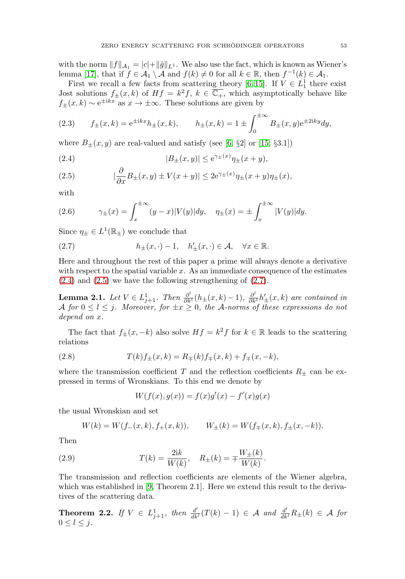with the norm  $||f||_{A_1} = |c| + ||\hat{g}||_{L^1}$ . We also use the fact, which is known as Wiener's lemma [\[17\]](#page-8-15), that if  $f \in \mathcal{A}_1 \setminus \mathcal{A}$  and  $f(k) \neq 0$  for all  $k \in \mathbb{R}$ , then  $f^{-1}(k) \in \mathcal{A}_1$ .

First we recall a few facts from scattering theory [\[6,](#page-8-2) [15\]](#page-8-0). If  $V \in L_1^1$  there exist Jost solutions  $f_{\pm}(x,k)$  of  $Hf = k^2f$ ,  $k \in \overline{\mathbb{C}_+}$ , which asymptotically behave like  $f_{+}(x, k) \sim e^{\pm i kx}$  as  $x \to \pm \infty$ . These solutions are given by

<span id="page-2-4"></span>(2.3) 
$$
f_{\pm}(x,k) = e^{\pm ikx}h_{\pm}(x,k),
$$
  $h_{\pm}(x,k) = 1 \pm \int_0^{\pm \infty} B_{\pm}(x,y)e^{\pm 2iky}dy,$ 

where  $B_+(x, y)$  are real-valued and satisfy (see [\[6,](#page-8-2) §2] or [\[15,](#page-8-0) §3.1])

<span id="page-2-1"></span>(2.4) 
$$
|B_{\pm}(x,y)| \le e^{\gamma_{\pm}(x)} \eta_{\pm}(x+y),
$$

<span id="page-2-2"></span>(2.5) 
$$
|\frac{\partial}{\partial x}B_{\pm}(x,y) \pm V(x+y)| \leq 2e^{\gamma_{\pm}(x)}\eta_{\pm}(x+y)\eta_{\pm}(x),
$$

with

<span id="page-2-5"></span>(2.6) 
$$
\gamma_{\pm}(x) = \int_{x}^{\pm \infty} (y - x)|V(y)| dy, \quad \eta_{\pm}(x) = \pm \int_{x}^{\pm \infty} |V(y)| dy.
$$

Since  $\eta_{\pm} \in L^1(\mathbb{R}_{\pm})$  we conclude that

<span id="page-2-3"></span>(2.7) 
$$
h_{\pm}(x,\cdot)-1, \quad h'_{\pm}(x,\cdot) \in \mathcal{A}, \quad \forall x \in \mathbb{R}.
$$

Here and throughout the rest of this paper a prime will always denote a derivative with respect to the spatial variable  $x$ . As an immediate consequence of the estimates  $(2.4)$  and  $(2.5)$  we have the following strengthening of  $(2.7)$ .

<span id="page-2-7"></span>**Lemma 2.1.** Let  $V \in L^1_{j+1}$ . Then  $\frac{\partial^l}{\partial k^l}(h_{\pm}(x,k)-1)$ ,  $\frac{\partial^l}{\partial k^l}h'_{\pm}(x,k)$  are contained in A for  $0 \leq l \leq j$ . Moreover, for  $\pm x \geq 0$ , the A-norms of these expressions do not depend on x.

The fact that  $f_{\pm}(x, -k)$  also solve  $Hf = k^2 f$  for  $k \in \mathbb{R}$  leads to the scattering relations

<span id="page-2-6"></span>(2.8) 
$$
T(k)f_{\pm}(x,k) = R_{\mp}(k)f_{\mp}(x,k) + f_{\mp}(x,-k),
$$

where the transmission coefficient T and the reflection coefficients  $R_{\pm}$  can be expressed in terms of Wronskians. To this end we denote by

 $W(f(x), g(x)) = f(x)g'(x) - f'(x)g(x)$ 

the usual Wronskian and set

$$
W(k) = W(f_{-}(x,k), f_{+}(x,k)), \qquad W_{\pm}(k) = W(f_{\mp}(x,k), f_{\pm}(x,-k)).
$$

Then

(2.9) 
$$
T(k) = \frac{2ik}{W(k)}, \quad R_{\pm}(k) = \mp \frac{W_{\pm}(k)}{W(k)}.
$$

The transmission and reflection coefficients are elements of the Wiener algebra, which was established in [\[9,](#page-8-5) Theorem 2.1]. Here we extend this result to the derivatives of the scattering data.

<span id="page-2-0"></span>**Theorem 2.2.** If  $V \in L^1_{j+1}$ , then  $\frac{d^l}{dk^l}(T(k) - 1) \in \mathcal{A}$  and  $\frac{d^l}{dk^l}R_{\pm}(k) \in \mathcal{A}$  for  $0 \leq l \leq j$ .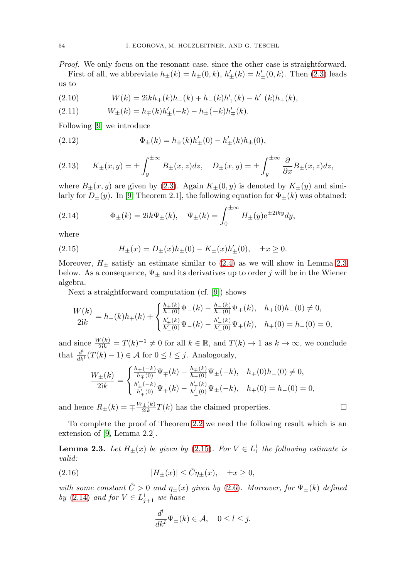Proof. We only focus on the resonant case, since the other case is straightforward.

First of all, we abbreviate  $h_{\pm}(k) = h_{\pm}(0, k)$ ,  $h'_{\pm}(k) = h'_{\pm}(0, k)$ . Then [\(2.3\)](#page-2-4) leads us to

(2.10) 
$$
W(k) = 2ikh_{+}(k)h_{-}(k) + h_{-}(k)h'_{+}(k) - h'_{-}(k)h_{+}(k),
$$

(2.11) 
$$
W_{\pm}(k) = h_{\mp}(k)h'_{\pm}(-k) - h_{\pm}(-k)h'_{\mp}(k).
$$

Following [\[9\]](#page-8-5) we introduce

(2.12) 
$$
\Phi_{\pm}(k) = h_{\pm}(k)h'_{\pm}(0) - h'_{\pm}(k)h_{\pm}(0),
$$

<span id="page-3-3"></span>(2.13) 
$$
K_{\pm}(x,y) = \pm \int_{y}^{\pm \infty} B_{\pm}(x,z) dz, \quad D_{\pm}(x,y) = \pm \int_{y}^{\pm \infty} \frac{\partial}{\partial x} B_{\pm}(x,z) dz,
$$

where  $B_{\pm}(x, y)$  are given by [\(2.3\)](#page-2-4). Again  $K_{\pm}(0, y)$  is denoted by  $K_{\pm}(y)$  and similarly for  $D_{\pm}(y)$ . In [\[9,](#page-8-5) Theorem 2.1], the following equation for  $\Phi_{\pm}(k)$  was obtained:

<span id="page-3-2"></span>(2.14) 
$$
\Phi_{\pm}(k) = 2ik\Psi_{\pm}(k), \quad \Psi_{\pm}(k) = \int_0^{\pm \infty} H_{\pm}(y) e^{\pm 2iky} dy,
$$

where

<span id="page-3-1"></span>(2.15) 
$$
H_{\pm}(x) = D_{\pm}(x)h_{\pm}(0) - K_{\pm}(x)h'_{\pm}(0), \quad \pm x \ge 0.
$$

Moreover,  $H_{\pm}$  satisfy an estimate similar to [\(2.4\)](#page-2-1) as we will show in Lemma [2.3](#page-3-0) below. As a consequence,  $\Psi_{\pm}$  and its derivatives up to order j will be in the Wiener algebra.

Next a straightforward computation (cf. [\[9\]](#page-8-5)) shows

$$
\frac{W(k)}{2\textbf{i}k} = h_{-}(k)h_{+}(k) + \begin{cases} \frac{h_{+}(k)}{h_{-}(0)}\Psi_{-}(k) - \frac{h_{-}(k)}{h_{+}(0)}\Psi_{+}(k), & h_{+}(0)h_{-}(0) \neq 0, \\ \frac{h'_{+}(k)}{h_{-}'(0)}\Psi_{-}(k) - \frac{h'_{-}(k)}{h'_{+}(0)}\Psi_{+}(k), & h_{+}(0) = h_{-}(0) = 0, \end{cases}
$$

and since  $\frac{W(k)}{2ik} = T(k)^{-1} \neq 0$  for all  $k \in \mathbb{R}$ , and  $T(k) \to 1$  as  $k \to \infty$ , we conclude that  $\frac{d^{l}}{dk^{l}}(T(k) - 1) \in \mathcal{A}$  for  $0 \le l \le j$ . Analogously,

$$
\frac{W_{\pm}(k)}{2{\rm i}k}=\begin{cases} \frac{h_{\pm}(-k)}{h_{\mp}(0)}\Psi_{\mp}(k)-\frac{h_{\mp}(k)}{h_{\pm}(0)}\Psi_{\pm}(-k), & h_{+}(0)h_{-}(0)\neq 0,\\ \frac{h'_{\pm}(-k)}{h'_{\mp}(0)}\Psi_{\mp}(k)-\frac{h'_{\mp}(k)}{h'_{\pm}(0)}\Psi_{\pm}(-k), & h_{+}(0)=h_{-}(0)=0, \end{cases}
$$

and hence  $R_{\pm}(k) = \pm \frac{W_{\pm}(k)}{2ik}T(k)$  has the claimed properties.  $\Box$ 

To complete the proof of Theorem [2.2](#page-2-0) we need the following result which is an extension of [\[9,](#page-8-5) Lemma 2.2].

<span id="page-3-0"></span>**Lemma 2.3.** Let  $H_{\pm}(x)$  be given by [\(2.15\)](#page-3-1). For  $V \in L_1^1$  the following estimate is valid:

<span id="page-3-4"></span>(2.16) 
$$
|H_{\pm}(x)| \leq \hat{C}\eta_{\pm}(x), \quad \pm x \geq 0,
$$

with some constant  $\hat{C} > 0$  and  $\eta_{\pm}(x)$  given by [\(2.6\)](#page-2-5). Moreover, for  $\Psi_{\pm}(k)$  defined by [\(2.14\)](#page-3-2) and for  $V \in L^1_{j+1}$  we have

$$
\frac{d^l}{dk^l}\Psi_{\pm}(k) \in \mathcal{A}, \quad 0 \le l \le j.
$$

$$
\qquad \qquad \Box
$$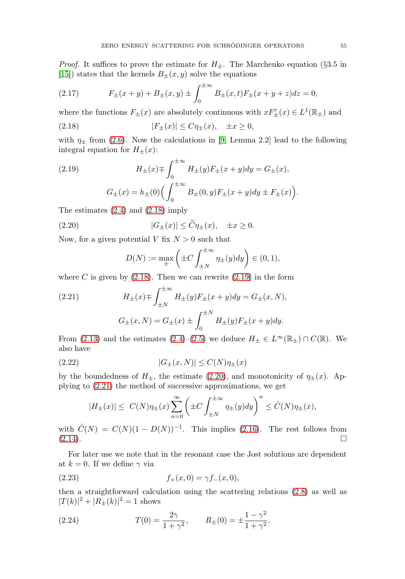*Proof.* It suffices to prove the estimate for  $H_{\pm}$ . The Marchenko equation (§3.5 in [\[15\]](#page-8-0)) states that the kernels  $B_{\pm}(x, y)$  solve the equations

(2.17) 
$$
F_{\pm}(x+y) + B_{\pm}(x,y) \pm \int_0^{\pm \infty} B_{\pm}(x,t) F_{\pm}(x+y+z) dz = 0,
$$

where the functions  $F_{\pm}(x)$  are absolutely continuous with  $xF'_{\pm}(x) \in L^1(\mathbb{R}_{\pm})$  and

<span id="page-4-0"></span>(2.18) 
$$
|F_{\pm}(x)| \leq C \eta_{\pm}(x), \quad \pm x \geq 0,
$$

with  $\eta_{\pm}$  from [\(2.6\)](#page-2-5). Now the calculations in [\[9,](#page-8-5) Lemma 2.2] lead to the following integral equation for  $H_{\pm}(x)$ :

<span id="page-4-1"></span>(2.19) 
$$
H_{\pm}(x) \mp \int_0^{\pm \infty} H_{\pm}(y) F_{\pm}(x+y) dy = G_{\pm}(x),
$$

$$
G_{\pm}(x) = h_{\pm}(0) \Big( \int_0^{\pm \infty} B_{\pm}(0, y) F_{\pm}(x+y) dy \pm F_{\pm}(x) \Big).
$$

The estimates [\(2.4\)](#page-2-1) and [\(2.18\)](#page-4-0) imply

<span id="page-4-2"></span>(2.20) 
$$
|G_{\pm}(x)| \leq \widetilde{C}\eta_{\pm}(x), \quad \pm x \geq 0.
$$

Now, for a given potential V fix  $N > 0$  such that

$$
D(N) := \max_{\pm} \left( \pm C \int_{\pm N}^{\pm \infty} \eta_{\pm}(y) dy \right) \in (0, 1),
$$

where C is given by  $(2.18)$ . Then we can rewrite  $(2.19)$  in the form

<span id="page-4-3"></span>(2.21) 
$$
H_{\pm}(x) \mp \int_{\pm N}^{\pm \infty} H_{\pm}(y) F_{\pm}(x+y) dy = G_{\pm}(x, N),
$$

$$
G_{\pm}(x, N) = G_{\pm}(x) \pm \int_{0}^{\pm N} H_{\pm}(y) F_{\pm}(x+y) dy.
$$

From [\(2.13\)](#page-3-3) and the estimates [\(2.4\)](#page-2-1)–[\(2.5\)](#page-2-2) we deduce  $H_{\pm} \in L^{\infty}(\mathbb{R}_{\pm}) \cap C(\mathbb{R})$ . We also have

$$
(2.22) \t\t |G_{\pm}(x,N)| \le C(N)\eta_{\pm}(x)
$$

by the boundedness of  $H_{\pm}$ , the estimate [\(2.20\)](#page-4-2), and monotonicity of  $\eta_{\pm}(x)$ . Applying to [\(2.21\)](#page-4-3) the method of successive approximations, we get

$$
|H_{\pm}(x)| \leq C(N)\eta_{\pm}(x)\sum_{n=0}^{\infty} \left(\pm C \int_{\pm N}^{\pm \infty} \eta_{\pm}(y) dy\right)^n \leq \hat{C}(N)\eta_{\pm}(x),
$$

with  $\hat{C}(N) = C(N)(1 - D(N))^{-1}$ . This implies [\(2.16\)](#page-3-4). The rest follows from (2.14).  $(2.14).$  $(2.14).$  $\Box$ 

For later use we note that in the resonant case the Jost solutions are dependent at  $k = 0$ . If we define  $\gamma$  via

<span id="page-4-4"></span>(2.23) 
$$
f_{+}(x,0) = \gamma f_{-}(x,0),
$$

then a straightforward calculation using the scattering relations [\(2.8\)](#page-2-6) as well as  $|T(k)|^2 + |R_{\pm}(k)|^2 = 1$  shows

<span id="page-4-5"></span>(2.24) 
$$
T(0) = \frac{2\gamma}{1 + \gamma^2}, \qquad R_{\pm}(0) = \pm \frac{1 - \gamma^2}{1 + \gamma^2}.
$$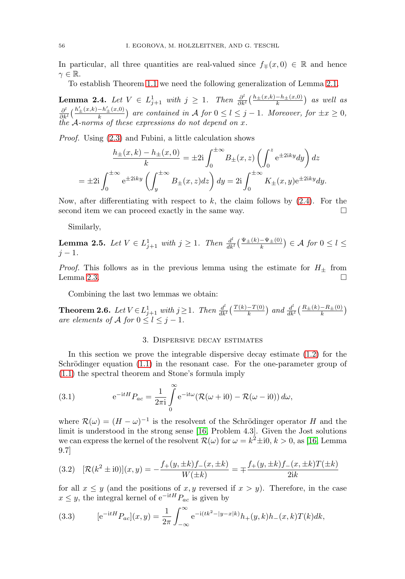In particular, all three quantities are real-valued since  $f_{\mp}(x, 0) \in \mathbb{R}$  and hence  $\gamma \in \mathbb{R}$ .

To establish Theorem [1.1](#page-1-0) we need the following generalization of Lemma [2.1.](#page-2-7)

<span id="page-5-2"></span>**Lemma 2.4.** Let  $V \in L^1_{j+1}$  with  $j \geq 1$ . Then  $\frac{\partial^l}{\partial k^l} \left( \frac{h \pm (x,k) - h \pm (x,0)}{k} \right)$  as well as  $\frac{\partial^l}{\partial k^l}(\frac{h'_{\pm}(x,k)-h'_{\pm}(x,0)}{k})$  are contained in A for  $0 \leq l \leq j-1$ . Moreover, for  $\pm x \geq 0$ , the A-norms of these expressions do not depend on x.

Proof. Using [\(2.3\)](#page-2-4) and Fubini, a little calculation shows

$$
\frac{h_{\pm}(x,k) - h_{\pm}(x,0)}{k} = \pm 2\mathbf{i} \int_0^{\pm \infty} B_{\pm}(x,z) \left( \int_0^z e^{\pm 2\mathbf{i}ky} dy \right) dz
$$

$$
= \pm 2\mathbf{i} \int_0^{\pm \infty} e^{\pm 2\mathbf{i}ky} \left( \int_y^{\pm \infty} B_{\pm}(x,z) dz \right) dy = 2\mathbf{i} \int_0^{\pm \infty} K_{\pm}(x,y) e^{\pm 2\mathbf{i}ky} dy.
$$

Now, after differentiating with respect to  $k$ , the claim follows by  $(2.4)$ . For the second item we can proceed exactly in the same way.  $\Box$ 

Similarly,

**Lemma 2.5.** Let  $V \in L^1_{j+1}$  with  $j \geq 1$ . Then  $\frac{d^l}{dk^l}(\frac{\Psi_{\pm}(k)-\Psi_{\pm}(0)}{k}) \in \mathcal{A}$  for  $0 \leq l \leq$  $j - 1$ .

*Proof.* This follows as in the previous lemma using the estimate for  $H_{\pm}$  from Lemma 2.3.  $Lemma 2.3.$  $Lemma 2.3.$ 

Combining the last two lemmas we obtain:

<span id="page-5-1"></span>**Theorem 2.6.** Let  $V \in L_{j+1}^1$  with  $j \ge 1$ . Then  $\frac{d^l}{dk^l} \left( \frac{T(k)-T(0)}{k} \right)$  and  $\frac{d^l}{dk^l} \left( \frac{R_{\pm}(k)-R_{\pm}(0)}{k} \right)$ are elements of A for  $0 \le l \le j-1$ .

### 3. Dispersive decay estimates

In this section we prove the integrable dispersive decay estimate [\(1.2\)](#page-1-1) for the Schrödinger equation  $(1.1)$  in the resonant case. For the one-parameter group of [\(1.1\)](#page-0-0) the spectral theorem and Stone's formula imply

(3.1) 
$$
e^{-itH}P_{ac} = \frac{1}{2\pi i}\int_{0}^{\infty} e^{-it\omega}(\mathcal{R}(\omega + i0) - \mathcal{R}(\omega - i0)) d\omega,
$$

where  $\mathcal{R}(\omega)=(H-\omega)^{-1}$  is the resolvent of the Schrödinger operator H and the limit is understood in the strong sense [\[16,](#page-8-1) Problem 4.3]. Given the Jost solutions we can express the kernel of the resolvent  $\mathcal{R}(\omega)$  for  $\omega = k^2 \pm i0, k > 0$ , as [\[16,](#page-8-1) Lemma 9.7]

$$
(3.2) \quad [\mathcal{R}(k^2 \pm i0)](x,y) = -\frac{f_+(y,\pm k)f_-(x,\pm k)}{W(\pm k)} = \mp \frac{f_+(y,\pm k)f_-(x,\pm k)T(\pm k)}{2ik}
$$

for all  $x \leq y$  (and the positions of x, y reversed if  $x > y$ ). Therefore, in the case  $x \leq y$ , the integral kernel of  $e^{-itH}P_{ac}$  is given by

<span id="page-5-0"></span>(3.3) 
$$
[e^{-itH}P_{ac}](x,y) = \frac{1}{2\pi} \int_{-\infty}^{\infty} e^{-i(tk^2 - |y-x|k)} h_+(y,k) h_-(x,k) T(k) dk,
$$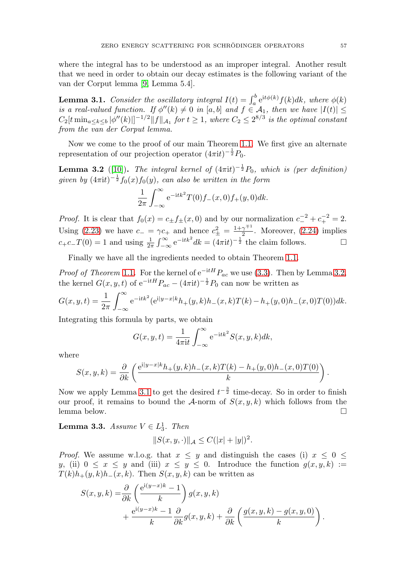where the integral has to be understood as an improper integral. Another result that we need in order to obtain our decay estimates is the following variant of the van der Corput lemma [\[9,](#page-8-5) Lemma 5.4].

<span id="page-6-1"></span>**Lemma 3.1.** Consider the oscillatory integral  $I(t) = \int_a^b e^{it\phi(k)} f(k) dk$ , where  $\phi(k)$ is a real-valued function. If  $\phi''(k) \neq 0$  in [a, b] and  $f \in \mathcal{A}_1$ , then we have  $|I(t)| \leq$  $C_2[t \min_{a \le k \le b} |\phi''(k)|]^{-1/2} ||f||_{\mathcal{A}_1}$  for  $t \ge 1$ , where  $C_2 \le 2^{8/3}$  is the optimal constant from the van der Corput lemma.

Now we come to the proof of our main Theorem [1.1.](#page-1-0) We first give an alternate representation of our projection operator  $(4\pi i t)^{-\frac{1}{2}}P_0$ .

<span id="page-6-0"></span>**Lemma 3.2** ([\[10\]](#page-8-10)). The integral kernel of  $(4\pi i t)^{-\frac{1}{2}}P_0$ , which is (per definition) given by  $(4\pi it)^{-\frac{1}{2}}f_0(x)f_0(y)$ , can also be written in the form

$$
\frac{1}{2\pi} \int_{-\infty}^{\infty} e^{-itk^2} T(0) f_-(x,0) f_+(y,0) dk.
$$

*Proof.* It is clear that  $f_0(x) = c_{\pm} f_{\pm}(x,0)$  and by our normalization  $c_{-}^{-2} + c_{+}^{-2} = 2$ . Using [\(2.23\)](#page-4-4) we have  $c_-=\gamma c_+$  and hence  $c_+^2=\frac{1+\gamma^{\mp 1}}{2}$ . Moreover, [\(2.24\)](#page-4-5) implies  $c_+c_-T(0) = 1$  and using  $\frac{1}{2\pi} \int_{-\infty}^{\infty} e^{-itk^2} dk = (4\pi it)^{-\frac{1}{2}}$  the claim follows.

Finally we have all the ingredients needed to obtain Theorem [1.1.](#page-1-0)

*Proof of Theorem* [1.1](#page-1-0). For the kernel of  $e^{-itH}P_{ac}$  we use [\(3.3\)](#page-5-0). Then by Lemma [3.2,](#page-6-0) the kernel  $G(x, y, t)$  of  $e^{-itH}P_{ac} - (4\pi i t)^{-\frac{1}{2}}P_0$  can now be written as

$$
G(x, y, t) = \frac{1}{2\pi} \int_{-\infty}^{\infty} e^{-itk^2} (e^{i|y-x|k} h_+(y, k) h_-(x, k) T(k) - h_+(y, 0) h_-(x, 0) T(0)) dk.
$$

Integrating this formula by parts, we obtain

$$
G(x, y, t) = \frac{1}{4\pi i t} \int_{-\infty}^{\infty} e^{-itk^2} S(x, y, k) dk,
$$

where

$$
S(x, y, k) = \frac{\partial}{\partial k} \left( \frac{e^{i|y - x|k} h_+(y, k) h_-(x, k) T(k) - h_+(y, 0) h_-(x, 0) T(0)}{k} \right).
$$

Now we apply Lemma [3.1](#page-6-1) to get the desired  $t^{-\frac{3}{2}}$  time-decay. So in order to finish our proof, it remains to bound the A-norm of  $S(x, y, k)$  which follows from the lemma below. lemma below.

**Lemma 3.3.** Assume  $V \in L_3^1$ . Then

$$
||S(x, y, \cdot)||_{\mathcal{A}} \leq C(|x| + |y|)^2.
$$

*Proof.* We assume w.l.o.g. that  $x \leq y$  and distinguish the cases (i)  $x \leq 0 \leq$ y, (ii)  $0 \leq x \leq y$  and (iii)  $x \leq y \leq 0$ . Introduce the function  $g(x, y, k) :=$  $T(k)h_{+}(y, k)h_{-}(x, k)$ . Then  $S(x, y, k)$  can be written as

$$
S(x, y, k) = \frac{\partial}{\partial k} \left( \frac{e^{i(y-x)k} - 1}{k} \right) g(x, y, k)
$$
  
+ 
$$
\frac{e^{i(y-x)k} - 1}{k} \frac{\partial}{\partial k} g(x, y, k) + \frac{\partial}{\partial k} \left( \frac{g(x, y, k) - g(x, y, 0)}{k} \right).
$$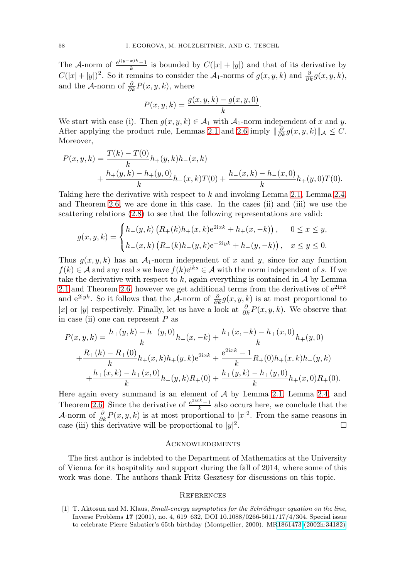The A-norm of  $\frac{e^{i(y-x)k}-1}{k}$  is bounded by  $C(|x|+|y|)$  and that of its derivative by  $C(|x|+|y|)^2$ . So it remains to consider the  $\mathcal{A}_1$ -norms of  $g(x, y, k)$  and  $\frac{\partial}{\partial k}g(x, y, k)$ , and the A-norm of  $\frac{\partial}{\partial k}P(x, y, k)$ , where

$$
P(x, y, k) = \frac{g(x, y, k) - g(x, y, 0)}{k}.
$$

We start with case (i). Then  $g(x, y, k) \in \mathcal{A}_1$  with  $\mathcal{A}_1$ -norm independent of x and y. After applying the product rule, Lemmas [2.1](#page-2-7) and [2.6](#page-5-1) imply  $\|\frac{\partial}{\partial k}g(x, y, k)\|_{\mathcal{A}} \leq C$ . Moreover,

$$
P(x, y, k) = \frac{T(k) - T(0)}{k} h_{+}(y, k) h_{-}(x, k)
$$
  
+ 
$$
\frac{h_{+}(y, k) - h_{+}(y, 0)}{k} h_{-}(x, k) T(0) + \frac{h_{-}(x, k) - h_{-}(x, 0)}{k} h_{+}(y, 0) T(0).
$$

Taking here the derivative with respect to k and invoking Lemma [2.1,](#page-2-7) Lemma [2.4,](#page-5-2) and Theorem [2.6,](#page-5-1) we are done in this case. In the cases (ii) and (iii) we use the scattering relations [\(2.8\)](#page-2-6) to see that the following representations are valid:

$$
g(x, y, k) = \begin{cases} h_{+}(y, k) \left( R_{+}(k)h_{+}(x, k)e^{2ixk} + h_{+}(x, -k) \right), & 0 \le x \le y, \\ h_{-}(x, k) \left( R_{-}(k)h_{-}(y, k)e^{-2iyk} + h_{-}(y, -k) \right), & x \le y \le 0. \end{cases}
$$

Thus  $g(x, y, k)$  has an  $A_1$ -norm independent of x and y, since for any function  $f(k) \in \mathcal{A}$  and any real s we have  $f(k)e^{iks} \in \mathcal{A}$  with the norm independent of s. If we take the derivative with respect to k, again everything is contained in  $A$  by Lemma [2.1](#page-2-7) and Theorem [2.6,](#page-5-1) however we get additional terms from the derivatives of  $e^{2ixk}$ and e<sup>2iyk</sup>. So it follows that the A-norm of  $\frac{\partial}{\partial k}g(x, y, k)$  is at most proportional to |x| or |y| respectively. Finally, let us have a look at  $\frac{\partial}{\partial k}P(x, y, k)$ . We observe that in case (ii) one can represent  $P$  as

$$
P(x,y,k) = \frac{h_+(y,k) - h_+(y,0)}{k}h_+(x,-k) + \frac{h_+(x,-k) - h_+(x,0)}{k}h_+(y,0)
$$
  
+ 
$$
\frac{R_+(k) - R_+(0)}{k}h_+(x,k)h_+(y,k)e^{2ixk} + \frac{e^{2ixk} - 1}{k}R_+(0)h_+(x,k)h_+(y,k)
$$
  
+ 
$$
\frac{h_+(x,k) - h_+(x,0)}{k}h_+(y,k)R_+(0) + \frac{h_+(y,k) - h_+(y,0)}{k}h_+(x,0)R_+(0).
$$

Here again every summand is an element of  $A$  by Lemma [2.1,](#page-2-7) Lemma [2.4,](#page-5-2) and Theorem [2.6.](#page-5-1) Since the derivative of  $\frac{e^{2ixk}-1}{k}$  also occurs here, we conclude that the A-norm of  $\frac{\partial}{\partial k}P(x, y, k)$  is at most proportional to  $|x|^2$ . From the same reasons in case (iii) this derivative will be proportional to  $|y|^2$ .  $\overline{a}$ .  $\Box$ 

#### **ACKNOWLEDGMENTS**

The first author is indebted to the Department of Mathematics at the University of Vienna for its hospitality and support during the fall of 2014, where some of this work was done. The authors thank Fritz Gesztesy for discussions on this topic.

#### **REFERENCES**

<span id="page-7-0"></span>[1] T. Aktosun and M. Klaus, *Small-energy asymptotics for the Schrödinger equation on the line*, Inverse Problems **17** (2001), no. 4, 619–632, DOI 10.1088/0266-5611/17/4/304. Special issue to celebrate Pierre Sabatier's 65th birthday (Montpellier, 2000). M[R1861473 \(2002h:34182\)](http://www.ams.org/mathscinet-getitem?mr=1861473)